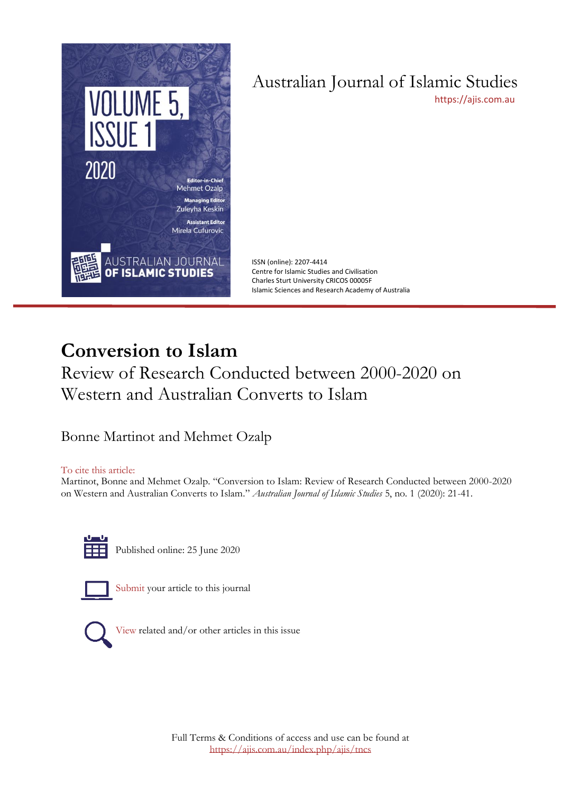

# Australian Journal of Islamic Studies

[https://ajis.com.au](https://ajis.com.au/)

ISSN (online): 2207-4414 Centre for Islamic Studies and Civilisation Charles Sturt University CRICOS 00005F Islamic Sciences and Research Academy of Australia

## **Conversion to Islam**

Review of Research Conducted between 2000-2020 on Western and Australian Converts to Islam

Bonne Martinot and Mehmet Ozalp

#### To cite this article:

Martinot, Bonne and Mehmet Ozalp. "Conversion to Islam: Review of Research Conducted between 2000-2020 on Western and Australian Converts to Islam." *Australian Journal of Islamic Studies* 5, no. 1 (2020): 21-41.



Published online: 25 June 2020



[Submit](https://ajis.com.au/index.php/ajis/about/submissions) your article to this journal



[View](https://ajis.com.au/index.php/ajis/issue/view/21) related and/or other articles in this issue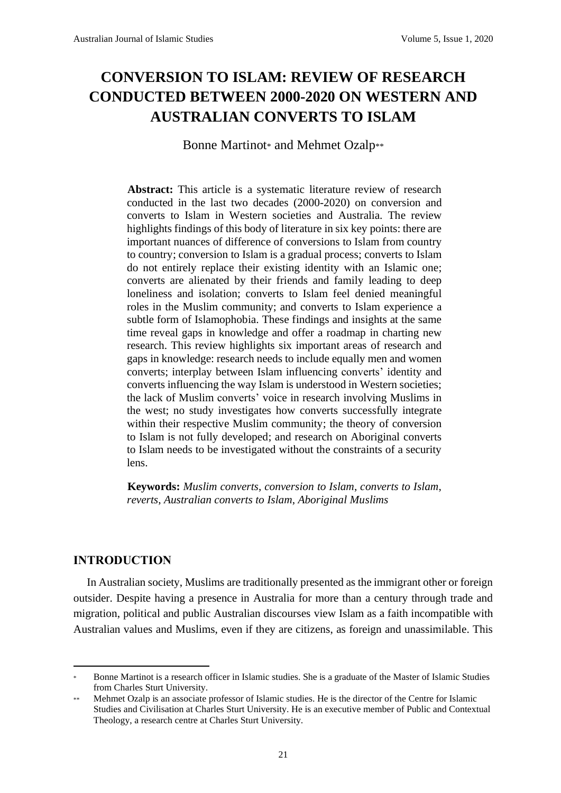### **CONVERSION TO ISLAM: REVIEW OF RESEARCH CONDUCTED BETWEEN 2000-2020 ON WESTERN AND AUSTRALIAN CONVERTS TO ISLAM**

Bonne Martinot\* and Mehmet Ozalp\*\*

**Abstract:** This article is a systematic literature review of research conducted in the last two decades (2000-2020) on conversion and converts to Islam in Western societies and Australia. The review highlights findings of this body of literature in six key points: there are important nuances of difference of conversions to Islam from country to country; conversion to Islam is a gradual process; converts to Islam do not entirely replace their existing identity with an Islamic one; converts are alienated by their friends and family leading to deep loneliness and isolation; converts to Islam feel denied meaningful roles in the Muslim community; and converts to Islam experience a subtle form of Islamophobia. These findings and insights at the same time reveal gaps in knowledge and offer a roadmap in charting new research. This review highlights six important areas of research and gaps in knowledge: research needs to include equally men and women converts; interplay between Islam influencing converts' identity and converts influencing the way Islam is understood in Western societies; the lack of Muslim converts' voice in research involving Muslims in the west; no study investigates how converts successfully integrate within their respective Muslim community; the theory of conversion to Islam is not fully developed; and research on Aboriginal converts to Islam needs to be investigated without the constraints of a security lens.

**Keywords:** *Muslim converts*, *conversion to Islam*, *converts to Islam*, *reverts*, *Australian converts to Islam*, *Aboriginal Muslims*

#### **INTRODUCTION**

In Australian society, Muslims are traditionally presented as the immigrant other or foreign outsider. Despite having a presence in Australia for more than a century through trade and migration, political and public Australian discourses view Islam as a faith incompatible with Australian values and Muslims, even if they are citizens, as foreign and unassimilable. This

<sup>\*</sup> Bonne Martinot is a research officer in Islamic studies. She is a graduate of the Master of Islamic Studies from Charles Sturt University.

Mehmet Ozalp is an associate professor of Islamic studies. He is the director of the Centre for Islamic Studies and Civilisation at Charles Sturt University. He is an executive member of Public and Contextual Theology, a research centre at Charles Sturt University.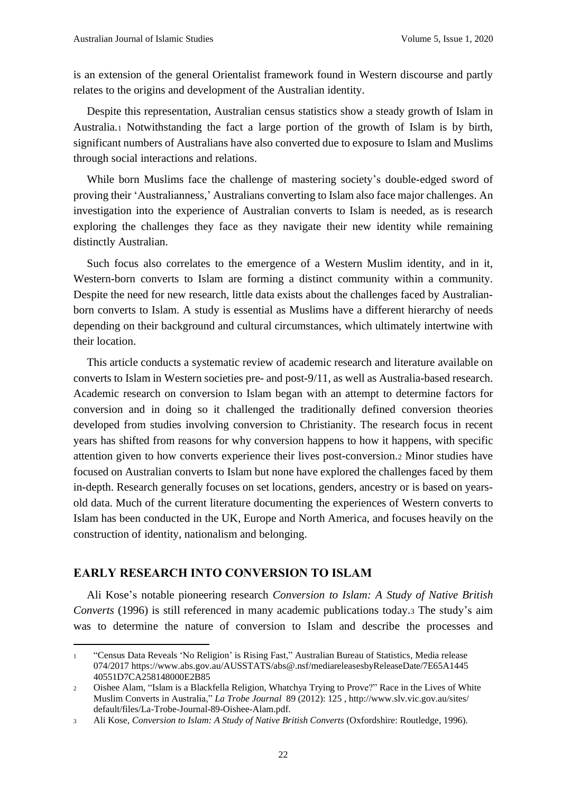is an extension of the general Orientalist framework found in Western discourse and partly relates to the origins and development of the Australian identity.

Despite this representation, Australian census statistics show a steady growth of Islam in Australia.<sup>1</sup> Notwithstanding the fact a large portion of the growth of Islam is by birth, significant numbers of Australians have also converted due to exposure to Islam and Muslims through social interactions and relations.

While born Muslims face the challenge of mastering society's double-edged sword of proving their 'Australianness,' Australians converting to Islam also face major challenges. An investigation into the experience of Australian converts to Islam is needed, as is research exploring the challenges they face as they navigate their new identity while remaining distinctly Australian.

Such focus also correlates to the emergence of a Western Muslim identity, and in it, Western-born converts to Islam are forming a distinct community within a community. Despite the need for new research, little data exists about the challenges faced by Australianborn converts to Islam. A study is essential as Muslims have a different hierarchy of needs depending on their background and cultural circumstances, which ultimately intertwine with their location.

This article conducts a systematic review of academic research and literature available on converts to Islam in Western societies pre- and post-9/11, as well as Australia-based research. Academic research on conversion to Islam began with an attempt to determine factors for conversion and in doing so it challenged the traditionally defined conversion theories developed from studies involving conversion to Christianity. The research focus in recent years has shifted from reasons for why conversion happens to how it happens, with specific attention given to how converts experience their lives post-conversion.<sup>2</sup> Minor studies have focused on Australian converts to Islam but none have explored the challenges faced by them in-depth. Research generally focuses on set locations, genders, ancestry or is based on yearsold data. Much of the current literature documenting the experiences of Western converts to Islam has been conducted in the UK, Europe and North America, and focuses heavily on the construction of identity, nationalism and belonging.

#### **EARLY RESEARCH INTO CONVERSION TO ISLAM**

Ali Kose's notable pioneering research *Conversion to Islam: A Study of Native British Converts* (1996) is still referenced in many academic publications today.<sup>3</sup> The study's aim was to determine the nature of conversion to Islam and describe the processes and

<sup>1</sup> "Census Data Reveals 'No Religion' is Rising Fast," Australian Bureau of Statistics, Media release 074/2017 https://www.abs.gov.au/AUSSTATS/abs@.nsf/mediareleasesbyReleaseDate/7E65A1445 40551D7CA258148000E2B85

<sup>2</sup> Oishee Alam, "Islam is a Blackfella Religion, Whatchya Trying to Prove?" Race in the Lives of White Muslim Converts in Australia," *La Trobe Journal* 89 (2012): 125 , http://www.slv.vic.gov.au/sites/ default/files/La-Trobe-Journal-89-Oishee-Alam.pdf.

<sup>3</sup> Ali Kose, *Conversion to Islam: A Study of Native British Converts* (Oxfordshire: Routledge, 1996).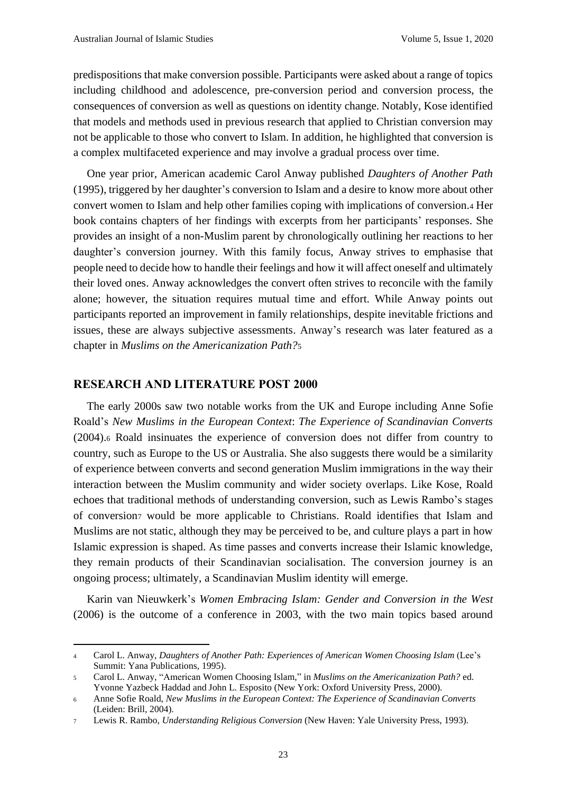predispositions that make conversion possible. Participants were asked about a range of topics including childhood and adolescence, pre-conversion period and conversion process, the consequences of conversion as well as questions on identity change. Notably, Kose identified that models and methods used in previous research that applied to Christian conversion may not be applicable to those who convert to Islam. In addition, he highlighted that conversion is a complex multifaceted experience and may involve a gradual process over time.

One year prior, American academic Carol Anway published *Daughters of Another Path* (1995), triggered by her daughter's conversion to Islam and a desire to know more about other convert women to Islam and help other families coping with implications of conversion.<sup>4</sup> Her book contains chapters of her findings with excerpts from her participants' responses. She provides an insight of a non-Muslim parent by chronologically outlining her reactions to her daughter's conversion journey. With this family focus, Anway strives to emphasise that people need to decide how to handle their feelings and how it will affect oneself and ultimately their loved ones. Anway acknowledges the convert often strives to reconcile with the family alone; however, the situation requires mutual time and effort. While Anway points out participants reported an improvement in family relationships, despite inevitable frictions and issues, these are always subjective assessments. Anway's research was later featured as a chapter in *Muslims on the Americanization Path?*<sup>5</sup>

#### **RESEARCH AND LITERATURE POST 2000**

The early 2000s saw two notable works from the UK and Europe including Anne Sofie Roald's *New Muslims in the European Context*: *The Experience of Scandinavian Converts* (2004).<sup>6</sup> Roald insinuates the experience of conversion does not differ from country to country, such as Europe to the US or Australia. She also suggests there would be a similarity of experience between converts and second generation Muslim immigrations in the way their interaction between the Muslim community and wider society overlaps. Like Kose, Roald echoes that traditional methods of understanding conversion, such as Lewis Rambo's stages of conversion<sup>7</sup> would be more applicable to Christians. Roald identifies that Islam and Muslims are not static, although they may be perceived to be, and culture plays a part in how Islamic expression is shaped. As time passes and converts increase their Islamic knowledge, they remain products of their Scandinavian socialisation. The conversion journey is an ongoing process; ultimately, a Scandinavian Muslim identity will emerge.

Karin van Nieuwkerk's *Women Embracing Islam: Gender and Conversion in the West* (2006) is the outcome of a conference in 2003, with the two main topics based around

<sup>4</sup> Carol L. Anway, *Daughters of Another Path: Experiences of American Women Choosing Islam* (Lee's Summit: Yana Publications, 1995).

<sup>5</sup> Carol L. Anway, "American Women Choosing Islam," in *Muslims on the Americanization Path?* ed. Yvonne Yazbeck Haddad and John L. Esposito (New York: Oxford University Press, 2000).

<sup>6</sup> Anne Sofie Roald, *New Muslims in the European Context: The Experience of Scandinavian Converts* (Leiden: Brill, 2004).

<sup>7</sup> Lewis R. Rambo, *Understanding Religious Conversion* (New Haven: Yale University Press, 1993).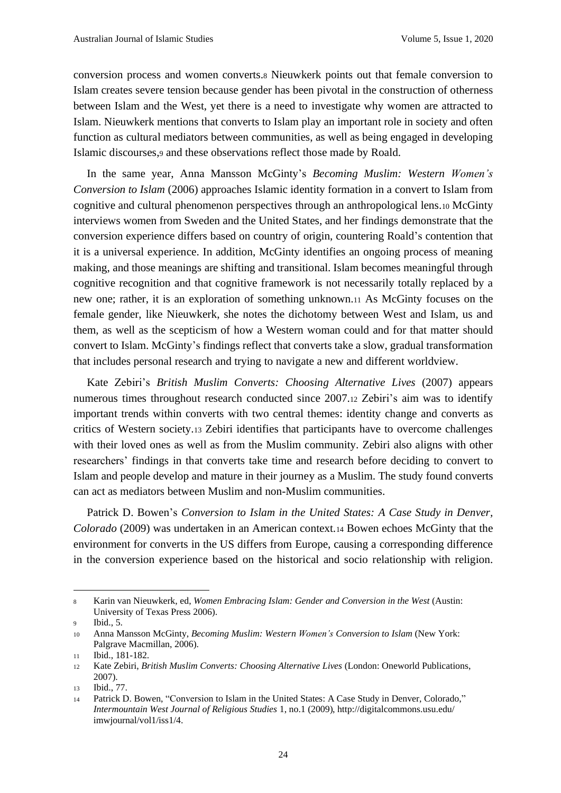conversion process and women converts.<sup>8</sup> Nieuwkerk points out that female conversion to Islam creates severe tension because gender has been pivotal in the construction of otherness between Islam and the West, yet there is a need to investigate why women are attracted to Islam. Nieuwkerk mentions that converts to Islam play an important role in society and often function as cultural mediators between communities, as well as being engaged in developing Islamic discourses,<sup>9</sup> and these observations reflect those made by Roald.

In the same year, Anna Mansson McGinty's *Becoming Muslim: Western Women's Conversion to Islam* (2006) approaches Islamic identity formation in a convert to Islam from cognitive and cultural phenomenon perspectives through an anthropological lens.<sup>10</sup> McGinty interviews women from Sweden and the United States, and her findings demonstrate that the conversion experience differs based on country of origin, countering Roald's contention that it is a universal experience. In addition, McGinty identifies an ongoing process of meaning making, and those meanings are shifting and transitional. Islam becomes meaningful through cognitive recognition and that cognitive framework is not necessarily totally replaced by a new one; rather, it is an exploration of something unknown.<sup>11</sup> As McGinty focuses on the female gender, like Nieuwkerk, she notes the dichotomy between West and Islam, us and them, as well as the scepticism of how a Western woman could and for that matter should convert to Islam. McGinty's findings reflect that converts take a slow, gradual transformation that includes personal research and trying to navigate a new and different worldview.

Kate Zebiri's *British Muslim Converts: Choosing Alternative Lives* (2007) appears numerous times throughout research conducted since 2007.<sup>12</sup> Zebiri's aim was to identify important trends within converts with two central themes: identity change and converts as critics of Western society.<sup>13</sup> Zebiri identifies that participants have to overcome challenges with their loved ones as well as from the Muslim community. Zebiri also aligns with other researchers' findings in that converts take time and research before deciding to convert to Islam and people develop and mature in their journey as a Muslim. The study found converts can act as mediators between Muslim and non-Muslim communities.

Patrick D. Bowen's *Conversion to Islam in the United States: A Case Study in Denver, Colorado* (2009) was undertaken in an American context.<sup>14</sup> Bowen echoes McGinty that the environment for converts in the US differs from Europe, causing a corresponding difference in the conversion experience based on the historical and socio relationship with religion.

<sup>8</sup> Karin van Nieuwkerk, ed, *Women Embracing Islam: Gender and Conversion in the West* (Austin: University of Texas Press 2006).

<sup>9</sup> Ibid., 5.

<sup>10</sup> Anna Mansson McGinty, *Becoming Muslim: Western Women's Conversion to Islam* (New York: Palgrave Macmillan, 2006).

<sup>11</sup> Ibid., 181-182.

<sup>12</sup> Kate Zebiri, *British Muslim Converts: Choosing Alternative Lives* (London: Oneworld Publications, 2007).

<sup>13</sup> Ibid., 77.

<sup>14</sup> Patrick D. Bowen, "Conversion to Islam in the United States: A Case Study in Denver, Colorado," *Intermountain West Journal of Religious Studies* 1, no.1 (2009), http://digitalcommons.usu.edu/ imwjournal/vol1/iss1/4.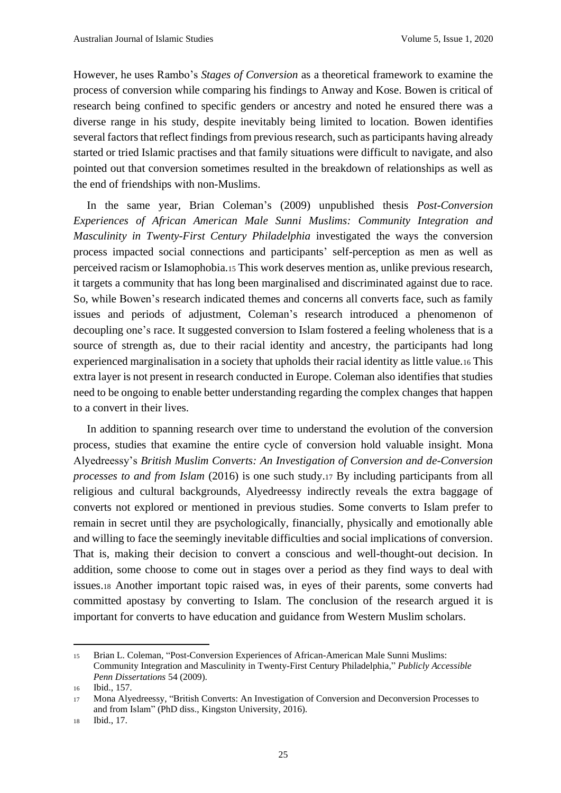However, he uses Rambo's *Stages of Conversion* as a theoretical framework to examine the process of conversion while comparing his findings to Anway and Kose. Bowen is critical of research being confined to specific genders or ancestry and noted he ensured there was a diverse range in his study, despite inevitably being limited to location. Bowen identifies several factors that reflect findings from previous research, such as participants having already started or tried Islamic practises and that family situations were difficult to navigate, and also pointed out that conversion sometimes resulted in the breakdown of relationships as well as the end of friendships with non-Muslims.

In the same year, Brian Coleman's (2009) unpublished thesis *Post-Conversion Experiences of African American Male Sunni Muslims: Community Integration and Masculinity in Twenty-First Century Philadelphia* investigated the ways the conversion process impacted social connections and participants' self-perception as men as well as perceived racism or Islamophobia.<sup>15</sup> This work deserves mention as, unlike previous research, it targets a community that has long been marginalised and discriminated against due to race. So, while Bowen's research indicated themes and concerns all converts face, such as family issues and periods of adjustment, Coleman's research introduced a phenomenon of decoupling one's race. It suggested conversion to Islam fostered a feeling wholeness that is a source of strength as, due to their racial identity and ancestry, the participants had long experienced marginalisation in a society that upholds their racial identity as little value.<sup>16</sup> This extra layer is not present in research conducted in Europe. Coleman also identifies that studies need to be ongoing to enable better understanding regarding the complex changes that happen to a convert in their lives.

In addition to spanning research over time to understand the evolution of the conversion process, studies that examine the entire cycle of conversion hold valuable insight. Mona Alyedreessy's *British Muslim Converts: An Investigation of Conversion and de-Conversion processes to and from Islam* (2016) is one such study.<sup>17</sup> By including participants from all religious and cultural backgrounds, Alyedreessy indirectly reveals the extra baggage of converts not explored or mentioned in previous studies. Some converts to Islam prefer to remain in secret until they are psychologically, financially, physically and emotionally able and willing to face the seemingly inevitable difficulties and social implications of conversion. That is, making their decision to convert a conscious and well-thought-out decision. In addition, some choose to come out in stages over a period as they find ways to deal with issues.<sup>18</sup> Another important topic raised was, in eyes of their parents, some converts had committed apostasy by converting to Islam. The conclusion of the research argued it is important for converts to have education and guidance from Western Muslim scholars.

<sup>15</sup> Brian L. Coleman, "Post-Conversion Experiences of African-American Male Sunni Muslims: Community Integration and Masculinity in Twenty-First Century Philadelphia," *Publicly Accessible Penn Dissertations* 54 (2009).

<sup>16</sup> Ibid., 157.

<sup>17</sup> Mona Alyedreessy, "British Converts: An Investigation of Conversion and Deconversion Processes to and from Islam" (PhD diss., Kingston University, 2016).

<sup>18</sup> Ibid., 17.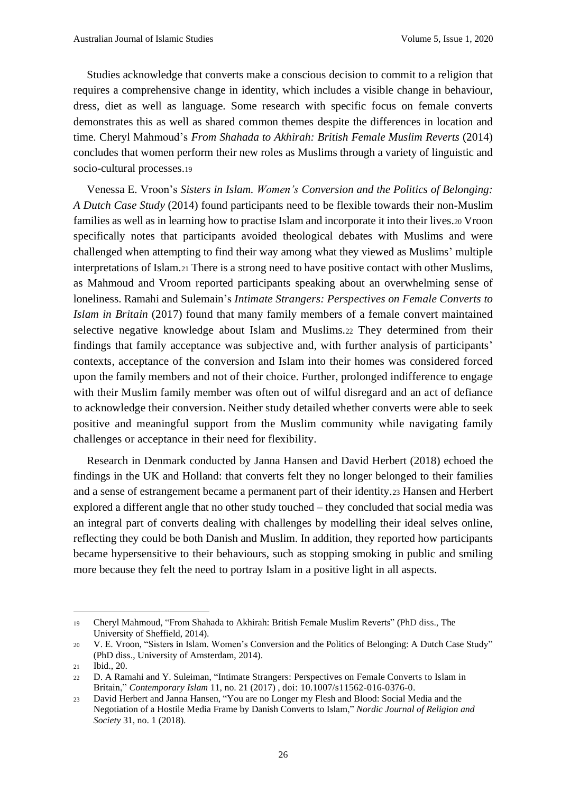Studies acknowledge that converts make a conscious decision to commit to a religion that requires a comprehensive change in identity, which includes a visible change in behaviour, dress, diet as well as language. Some research with specific focus on female converts demonstrates this as well as shared common themes despite the differences in location and time. Cheryl Mahmoud's *From Shahada to Akhirah: British Female Muslim Reverts* (2014) concludes that women perform their new roles as Muslims through a variety of linguistic and socio-cultural processes.<sup>19</sup>

Venessa E. Vroon's *Sisters in Islam. Women's Conversion and the Politics of Belonging: A Dutch Case Study* (2014) found participants need to be flexible towards their non-Muslim families as well as in learning how to practise Islam and incorporate it into their lives.<sup>20</sup> Vroon specifically notes that participants avoided theological debates with Muslims and were challenged when attempting to find their way among what they viewed as Muslims' multiple interpretations of Islam.<sup>21</sup> There is a strong need to have positive contact with other Muslims, as Mahmoud and Vroom reported participants speaking about an overwhelming sense of loneliness. Ramahi and Sulemain's *Intimate Strangers: Perspectives on Female Converts to Islam in Britain* (2017) found that many family members of a female convert maintained selective negative knowledge about Islam and Muslims.<sup>22</sup> They determined from their findings that family acceptance was subjective and, with further analysis of participants' contexts, acceptance of the conversion and Islam into their homes was considered forced upon the family members and not of their choice. Further, prolonged indifference to engage with their Muslim family member was often out of wilful disregard and an act of defiance to acknowledge their conversion. Neither study detailed whether converts were able to seek positive and meaningful support from the Muslim community while navigating family challenges or acceptance in their need for flexibility.

Research in Denmark conducted by Janna Hansen and David Herbert (2018) echoed the findings in the UK and Holland: that converts felt they no longer belonged to their families and a sense of estrangement became a permanent part of their identity.<sup>23</sup> Hansen and Herbert explored a different angle that no other study touched – they concluded that social media was an integral part of converts dealing with challenges by modelling their ideal selves online, reflecting they could be both Danish and Muslim. In addition, they reported how participants became hypersensitive to their behaviours, such as stopping smoking in public and smiling more because they felt the need to portray Islam in a positive light in all aspects.

<sup>19</sup> Cheryl Mahmoud, "From Shahada to Akhirah: British Female Muslim Reverts" (PhD diss., The University of Sheffield, 2014).

<sup>20</sup> V. E. Vroon, "Sisters in Islam. Women's Conversion and the Politics of Belonging: A Dutch Case Study" (PhD diss., University of Amsterdam, 2014).

<sup>21</sup> Ibid., 20.

<sup>22</sup> D. A Ramahi and Y. Suleiman, "Intimate Strangers: Perspectives on Female Converts to Islam in Britain," *Contemporary Islam* 11, no. 21 (2017) , doi: 10.1007/s11562-016-0376-0.

<sup>23</sup> David Herbert and Janna Hansen, "You are no Longer my Flesh and Blood: Social Media and the Negotiation of a Hostile Media Frame by Danish Converts to Islam," *Nordic Journal of Religion and Society* 31, no. 1 (2018).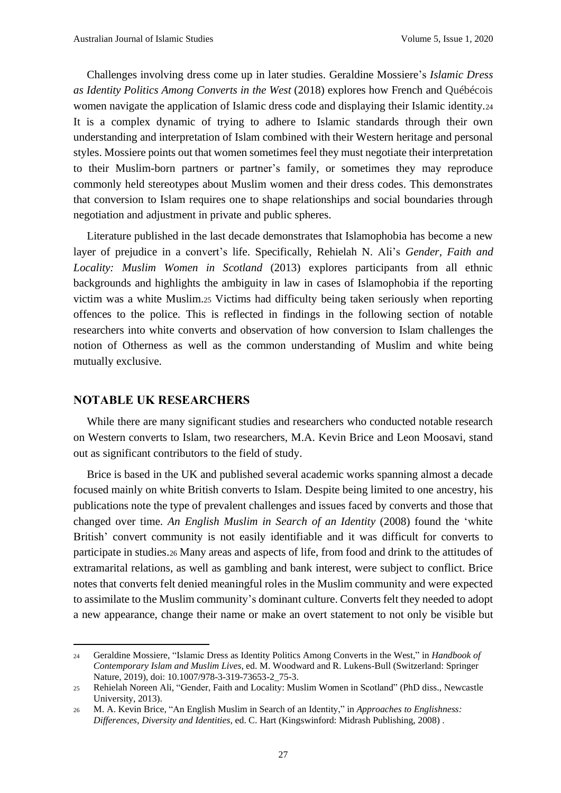Challenges involving dress come up in later studies. Geraldine Mossiere's *Islamic Dress as Identity Politics Among Converts in the West* (2018) explores how French and Québécois women navigate the application of Islamic dress code and displaying their Islamic identity.<sup>24</sup> It is a complex dynamic of trying to adhere to Islamic standards through their own understanding and interpretation of Islam combined with their Western heritage and personal styles. Mossiere points out that women sometimes feel they must negotiate their interpretation to their Muslim-born partners or partner's family, or sometimes they may reproduce commonly held stereotypes about Muslim women and their dress codes. This demonstrates that conversion to Islam requires one to shape relationships and social boundaries through negotiation and adjustment in private and public spheres.

Literature published in the last decade demonstrates that Islamophobia has become a new layer of prejudice in a convert's life. Specifically, Rehielah N. Ali's *Gender, Faith and Locality: Muslim Women in Scotland* (2013) explores participants from all ethnic backgrounds and highlights the ambiguity in law in cases of Islamophobia if the reporting victim was a white Muslim.<sup>25</sup> Victims had difficulty being taken seriously when reporting offences to the police. This is reflected in findings in the following section of notable researchers into white converts and observation of how conversion to Islam challenges the notion of Otherness as well as the common understanding of Muslim and white being mutually exclusive.

#### **NOTABLE UK RESEARCHERS**

While there are many significant studies and researchers who conducted notable research on Western converts to Islam, two researchers, M.A. Kevin Brice and Leon Moosavi, stand out as significant contributors to the field of study.

Brice is based in the UK and published several academic works spanning almost a decade focused mainly on white British converts to Islam. Despite being limited to one ancestry, his publications note the type of prevalent challenges and issues faced by converts and those that changed over time. *An English Muslim in Search of an Identity* (2008) found the 'white British' convert community is not easily identifiable and it was difficult for converts to participate in studies.<sup>26</sup> Many areas and aspects of life, from food and drink to the attitudes of extramarital relations, as well as gambling and bank interest, were subject to conflict. Brice notes that converts felt denied meaningful roles in the Muslim community and were expected to assimilate to the Muslim community's dominant culture. Converts felt they needed to adopt a new appearance, change their name or make an overt statement to not only be visible but

<sup>24</sup> Geraldine Mossiere, "Islamic Dress as Identity Politics Among Converts in the West," in *Handbook of Contemporary Islam and Muslim Lives*, ed. M. Woodward and R. Lukens-Bull (Switzerland: Springer Nature, 2019), doi: 10.1007/978-3-319-73653-2\_75-3.

<sup>25</sup> Rehielah Noreen Ali, "Gender, Faith and Locality: Muslim Women in Scotland" (PhD diss., Newcastle University, 2013).

<sup>26</sup> M. A. Kevin Brice, "An English Muslim in Search of an Identity," in *Approaches to Englishness: Differences, Diversity and Identities*, ed. C. Hart (Kingswinford: Midrash Publishing, 2008) .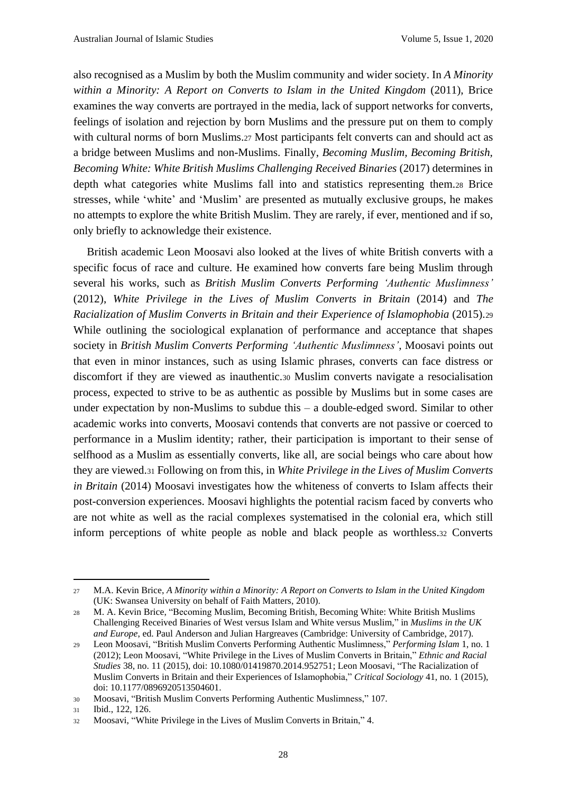also recognised as a Muslim by both the Muslim community and wider society. In *A Minority within a Minority: A Report on Converts to Islam in the United Kingdom* (2011), Brice examines the way converts are portrayed in the media, lack of support networks for converts, feelings of isolation and rejection by born Muslims and the pressure put on them to comply with cultural norms of born Muslims.<sup>27</sup> Most participants felt converts can and should act as a bridge between Muslims and non-Muslims. Finally, *Becoming Muslim, Becoming British, Becoming White: White British Muslims Challenging Received Binaries* (2017) determines in depth what categories white Muslims fall into and statistics representing them.<sup>28</sup> Brice stresses, while 'white' and 'Muslim' are presented as mutually exclusive groups, he makes no attempts to explore the white British Muslim. They are rarely, if ever, mentioned and if so, only briefly to acknowledge their existence.

British academic Leon Moosavi also looked at the lives of white British converts with a specific focus of race and culture. He examined how converts fare being Muslim through several his works, such as *British Muslim Converts Performing 'Authentic Muslimness'* (2012), *White Privilege in the Lives of Muslim Converts in Britain* (2014) and *The Racialization of Muslim Converts in Britain and their Experience of Islamophobia* (2015).<sup>29</sup> While outlining the sociological explanation of performance and acceptance that shapes society in *British Muslim Converts Performing 'Authentic Muslimness'*, Moosavi points out that even in minor instances, such as using Islamic phrases, converts can face distress or discomfort if they are viewed as inauthentic.<sup>30</sup> Muslim converts navigate a resocialisation process, expected to strive to be as authentic as possible by Muslims but in some cases are under expectation by non-Muslims to subdue this – a double-edged sword. Similar to other academic works into converts, Moosavi contends that converts are not passive or coerced to performance in a Muslim identity; rather, their participation is important to their sense of selfhood as a Muslim as essentially converts, like all, are social beings who care about how they are viewed.<sup>31</sup> Following on from this, in *White Privilege in the Lives of Muslim Converts in Britain* (2014) Moosavi investigates how the whiteness of converts to Islam affects their post-conversion experiences. Moosavi highlights the potential racism faced by converts who are not white as well as the racial complexes systematised in the colonial era, which still inform perceptions of white people as noble and black people as worthless.<sup>32</sup> Converts

<sup>27</sup> M.A. Kevin Brice, *A Minority within a Minority: A Report on Converts to Islam in the United Kingdom* (UK: Swansea University on behalf of Faith Matters, 2010).

<sup>28</sup> M. A. Kevin Brice, "Becoming Muslim, Becoming British, Becoming White: White British Muslims Challenging Received Binaries of West versus Islam and White versus Muslim," in *Muslims in the UK and Europe*, ed. Paul Anderson and Julian Hargreaves (Cambridge: University of Cambridge, 2017).

<sup>29</sup> Leon Moosavi, "British Muslim Converts Performing Authentic Muslimness," *Performing Islam* 1, no. 1 (2012); Leon Moosavi, "White Privilege in the Lives of Muslim Converts in Britain," *Ethnic and Racial Studies* 38, no. 11 (2015), doi: 10.1080/01419870.2014.952751; Leon Moosavi, "The Racialization of Muslim Converts in Britain and their Experiences of Islamophobia," *Critical Sociology* 41, no. 1 (2015), doi: 10.1177/0896920513504601.

<sup>30</sup> Moosavi, "British Muslim Converts Performing Authentic Muslimness," 107.

<sup>31</sup> Ibid., 122, 126.

<sup>32</sup> Moosavi, "White Privilege in the Lives of Muslim Converts in Britain," 4.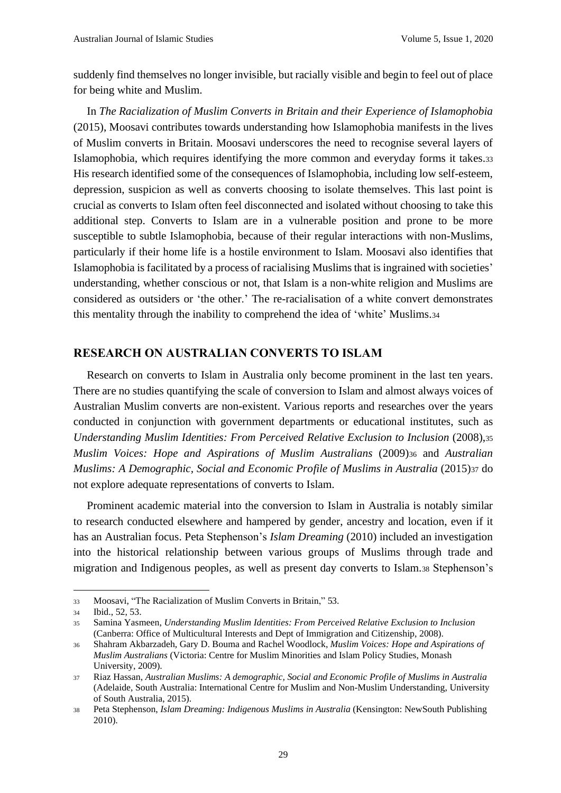suddenly find themselves no longer invisible, but racially visible and begin to feel out of place for being white and Muslim.

In *The Racialization of Muslim Converts in Britain and their Experience of Islamophobia* (2015), Moosavi contributes towards understanding how Islamophobia manifests in the lives of Muslim converts in Britain. Moosavi underscores the need to recognise several layers of Islamophobia, which requires identifying the more common and everyday forms it takes.<sup>33</sup> His research identified some of the consequences of Islamophobia, including low self-esteem, depression, suspicion as well as converts choosing to isolate themselves. This last point is crucial as converts to Islam often feel disconnected and isolated without choosing to take this additional step. Converts to Islam are in a vulnerable position and prone to be more susceptible to subtle Islamophobia, because of their regular interactions with non-Muslims, particularly if their home life is a hostile environment to Islam. Moosavi also identifies that Islamophobia is facilitated by a process of racialising Muslims that is ingrained with societies' understanding, whether conscious or not, that Islam is a non-white religion and Muslims are considered as outsiders or 'the other.' The re-racialisation of a white convert demonstrates this mentality through the inability to comprehend the idea of 'white' Muslims.<sup>34</sup>

#### **RESEARCH ON AUSTRALIAN CONVERTS TO ISLAM**

Research on converts to Islam in Australia only become prominent in the last ten years. There are no studies quantifying the scale of conversion to Islam and almost always voices of Australian Muslim converts are non-existent. Various reports and researches over the years conducted in conjunction with government departments or educational institutes, such as *Understanding Muslim Identities: From Perceived Relative Exclusion to Inclusion* (2008),<sup>35</sup> *Muslim Voices: Hope and Aspirations of Muslim Australians* (2009)<sup>36</sup> and *Australian Muslims: A Demographic, Social and Economic Profile of Muslims in Australia* (2015)<sup>37</sup> do not explore adequate representations of converts to Islam.

Prominent academic material into the conversion to Islam in Australia is notably similar to research conducted elsewhere and hampered by gender, ancestry and location, even if it has an Australian focus. Peta Stephenson's *Islam Dreaming* (2010) included an investigation into the historical relationship between various groups of Muslims through trade and migration and Indigenous peoples, as well as present day converts to Islam.<sup>38</sup> Stephenson's

<sup>33</sup> Moosavi, "The Racialization of Muslim Converts in Britain," 53.

<sup>34</sup> Ibid., 52, 53.

<sup>35</sup> Samina Yasmeen, *Understanding Muslim Identities: From Perceived Relative Exclusion to Inclusion* (Canberra: Office of Multicultural Interests and Dept of Immigration and Citizenship, 2008).

<sup>36</sup> Shahram Akbarzadeh, Gary D. Bouma and Rachel Woodlock, *Muslim Voices: Hope and Aspirations of Muslim Australians* (Victoria: Centre for Muslim Minorities and Islam Policy Studies, Monash University, 2009).

<sup>37</sup> Riaz Hassan, *Australian Muslims: A demographic, Social and Economic Profile of Muslims in Australia* (Adelaide, South Australia: International Centre for Muslim and Non-Muslim Understanding, University of South Australia, 2015).

<sup>38</sup> Peta Stephenson, *Islam Dreaming: Indigenous Muslims in Australia* (Kensington: NewSouth Publishing 2010).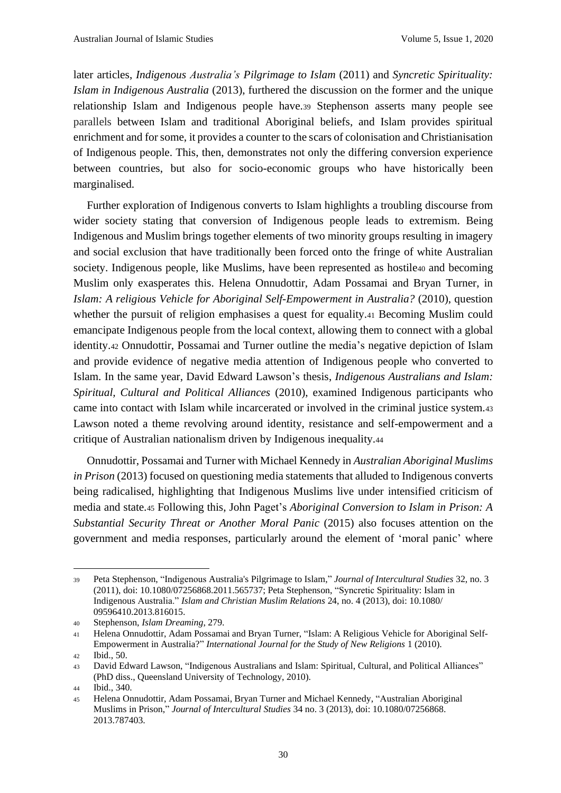later articles, *Indigenous Australia's Pilgrimage to Islam* (2011) and *Syncretic Spirituality: Islam in Indigenous Australia* (2013), furthered the discussion on the former and the unique relationship Islam and Indigenous people have.<sup>39</sup> Stephenson asserts many people see parallels between Islam and traditional Aboriginal beliefs, and Islam provides spiritual enrichment and for some, it provides a counter to the scars of colonisation and Christianisation of Indigenous people. This, then, demonstrates not only the differing conversion experience between countries, but also for socio-economic groups who have historically been marginalised.

Further exploration of Indigenous converts to Islam highlights a troubling discourse from wider society stating that conversion of Indigenous people leads to extremism. Being Indigenous and Muslim brings together elements of two minority groups resulting in imagery and social exclusion that have traditionally been forced onto the fringe of white Australian society. Indigenous people, like Muslims, have been represented as hostile40 and becoming Muslim only exasperates this. Helena Onnudottir, Adam Possamai and Bryan Turner, in *Islam: A religious Vehicle for Aboriginal Self-Empowerment in Australia?* (2010), question whether the pursuit of religion emphasises a quest for equality.<sup>41</sup> Becoming Muslim could emancipate Indigenous people from the local context, allowing them to connect with a global identity.<sup>42</sup> Onnudottir, Possamai and Turner outline the media's negative depiction of Islam and provide evidence of negative media attention of Indigenous people who converted to Islam. In the same year, David Edward Lawson's thesis, *Indigenous Australians and Islam: Spiritual, Cultural and Political Alliances* (2010), examined Indigenous participants who came into contact with Islam while incarcerated or involved in the criminal justice system.<sup>43</sup> Lawson noted a theme revolving around identity, resistance and self-empowerment and a critique of Australian nationalism driven by Indigenous inequality.<sup>44</sup>

Onnudottir, Possamai and Turner with Michael Kennedy in *Australian Aboriginal Muslims in Prison* (2013) focused on questioning media statements that alluded to Indigenous converts being radicalised, highlighting that Indigenous Muslims live under intensified criticism of media and state.<sup>45</sup> Following this, John Paget's *Aboriginal Conversion to Islam in Prison: A Substantial Security Threat or Another Moral Panic* (2015) also focuses attention on the government and media responses, particularly around the element of 'moral panic' where

<sup>39</sup> Peta Stephenson, "Indigenous Australia's Pilgrimage to Islam," *Journal of Intercultural Studies* 32, no. 3 (2011), doi: 10.1080/07256868.2011.565737; Peta Stephenson, "Syncretic Spirituality: Islam in Indigenous Australia." *Islam and Christian Muslim Relations* 24, no. 4 (2013), doi: 10.1080/ 09596410.2013.816015.

<sup>40</sup> Stephenson, *Islam Dreaming*, 279.

<sup>41</sup> Helena Onnudottir, Adam Possamai and Bryan Turner, "Islam: A Religious Vehicle for Aboriginal Self-Empowerment in Australia?" *International Journal for the Study of New Religions* 1 (2010).

<sup>42</sup> Ibid., 50.

<sup>43</sup> David Edward Lawson, "Indigenous Australians and Islam: Spiritual, Cultural, and Political Alliances" (PhD diss., Queensland University of Technology, 2010).

<sup>44</sup> Ibid., 340.

<sup>45</sup> Helena Onnudottir, Adam Possamai, Bryan Turner and Michael Kennedy, "Australian Aboriginal Muslims in Prison," *Journal of Intercultural Studies* 34 no. 3 (2013), doi: 10.1080/07256868. 2013.787403.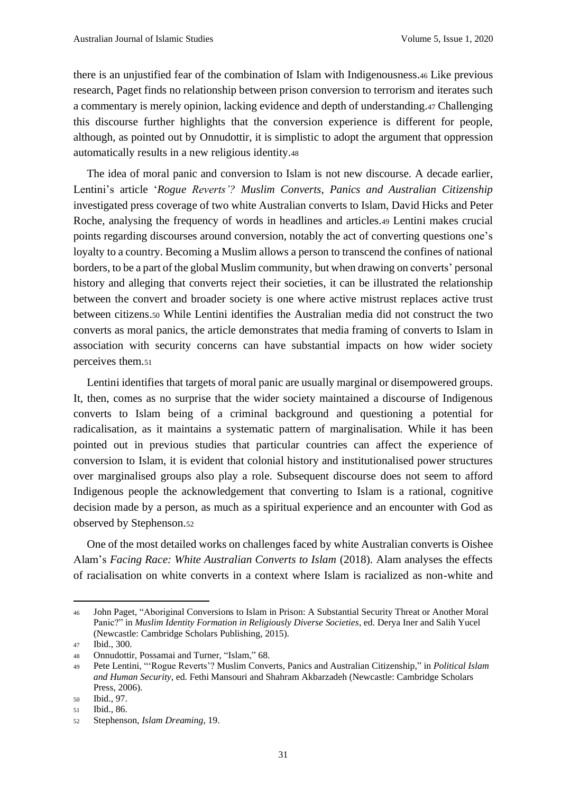there is an unjustified fear of the combination of Islam with Indigenousness.<sup>46</sup> Like previous research, Paget finds no relationship between prison conversion to terrorism and iterates such a commentary is merely opinion, lacking evidence and depth of understanding.<sup>47</sup> Challenging this discourse further highlights that the conversion experience is different for people, although, as pointed out by Onnudottir, it is simplistic to adopt the argument that oppression automatically results in a new religious identity.<sup>48</sup>

The idea of moral panic and conversion to Islam is not new discourse. A decade earlier, Lentini's article '*Rogue Reverts'? Muslim Converts, Panics and Australian Citizenship* investigated press coverage of two white Australian converts to Islam, David Hicks and Peter Roche, analysing the frequency of words in headlines and articles.<sup>49</sup> Lentini makes crucial points regarding discourses around conversion, notably the act of converting questions one's loyalty to a country. Becoming a Muslim allows a person to transcend the confines of national borders, to be a part of the global Muslim community, but when drawing on converts' personal history and alleging that converts reject their societies, it can be illustrated the relationship between the convert and broader society is one where active mistrust replaces active trust between citizens.<sup>50</sup> While Lentini identifies the Australian media did not construct the two converts as moral panics, the article demonstrates that media framing of converts to Islam in association with security concerns can have substantial impacts on how wider society perceives them.<sup>51</sup>

Lentini identifies that targets of moral panic are usually marginal or disempowered groups. It, then, comes as no surprise that the wider society maintained a discourse of Indigenous converts to Islam being of a criminal background and questioning a potential for radicalisation, as it maintains a systematic pattern of marginalisation. While it has been pointed out in previous studies that particular countries can affect the experience of conversion to Islam, it is evident that colonial history and institutionalised power structures over marginalised groups also play a role. Subsequent discourse does not seem to afford Indigenous people the acknowledgement that converting to Islam is a rational, cognitive decision made by a person, as much as a spiritual experience and an encounter with God as observed by Stephenson.<sup>52</sup>

One of the most detailed works on challenges faced by white Australian converts is Oishee Alam's *Facing Race: White Australian Converts to Islam* (2018). Alam analyses the effects of racialisation on white converts in a context where Islam is racialized as non-white and

<sup>46</sup> John Paget, "Aboriginal Conversions to Islam in Prison: A Substantial Security Threat or Another Moral Panic?" in *Muslim Identity Formation in Religiously Diverse Societies*, ed. Derya Iner and Salih Yucel (Newcastle: Cambridge Scholars Publishing, 2015).

<sup>47</sup> Ibid., 300.

<sup>48</sup> Onnudottir, Possamai and Turner, "Islam," 68.

<sup>49</sup> Pete Lentini, "'Rogue Reverts'? Muslim Converts, Panics and Australian Citizenship," in *Political Islam and Human Security*, ed. Fethi Mansouri and Shahram Akbarzadeh (Newcastle: Cambridge Scholars Press, 2006).

<sup>50</sup> Ibid., 97.

<sup>51</sup> Ibid., 86.

<sup>52</sup> Stephenson, *Islam Dreaming*, 19.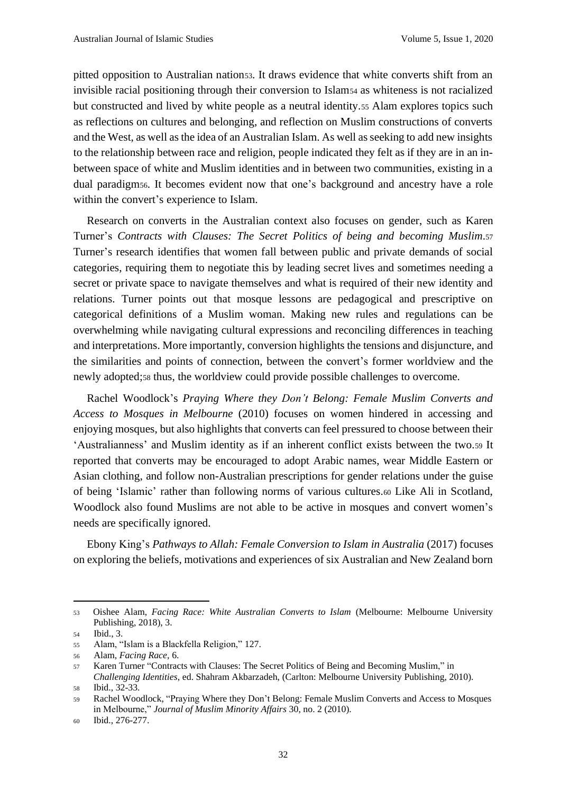pitted opposition to Australian nation53. It draws evidence that white converts shift from an invisible racial positioning through their conversion to Islam<sup>54</sup> as whiteness is not racialized but constructed and lived by white people as a neutral identity.<sup>55</sup> Alam explores topics such as reflections on cultures and belonging, and reflection on Muslim constructions of converts and the West, as well as the idea of an Australian Islam. As well as seeking to add new insights to the relationship between race and religion, people indicated they felt as if they are in an inbetween space of white and Muslim identities and in between two communities, existing in a dual paradigm56. It becomes evident now that one's background and ancestry have a role within the convert's experience to Islam.

Research on converts in the Australian context also focuses on gender, such as Karen Turner's *Contracts with Clauses: The Secret Politics of being and becoming Muslim*.<sup>57</sup> Turner's research identifies that women fall between public and private demands of social categories, requiring them to negotiate this by leading secret lives and sometimes needing a secret or private space to navigate themselves and what is required of their new identity and relations. Turner points out that mosque lessons are pedagogical and prescriptive on categorical definitions of a Muslim woman. Making new rules and regulations can be overwhelming while navigating cultural expressions and reconciling differences in teaching and interpretations. More importantly, conversion highlights the tensions and disjuncture, and the similarities and points of connection, between the convert's former worldview and the newly adopted;<sup>58</sup> thus, the worldview could provide possible challenges to overcome.

Rachel Woodlock's *Praying Where they Don't Belong: Female Muslim Converts and Access to Mosques in Melbourne* (2010) focuses on women hindered in accessing and enjoying mosques, but also highlights that converts can feel pressured to choose between their 'Australianness' and Muslim identity as if an inherent conflict exists between the two.<sup>59</sup> It reported that converts may be encouraged to adopt Arabic names, wear Middle Eastern or Asian clothing, and follow non-Australian prescriptions for gender relations under the guise of being 'Islamic' rather than following norms of various cultures.<sup>60</sup> Like Ali in Scotland, Woodlock also found Muslims are not able to be active in mosques and convert women's needs are specifically ignored.

Ebony King's *Pathways to Allah: Female Conversion to Islam in Australia* (2017) focuses on exploring the beliefs, motivations and experiences of six Australian and New Zealand born

<sup>53</sup> Oishee Alam, *Facing Race: White Australian Converts to Islam* (Melbourne: Melbourne University Publishing, 2018), 3.

<sup>54</sup> Ibid., 3.

<sup>55</sup> Alam, "Islam is a Blackfella Religion," 127.

<sup>56</sup> Alam, *Facing Race,* 6.

<sup>57</sup> Karen Turner "Contracts with Clauses: The Secret Politics of Being and Becoming Muslim," in *Challenging Identities*, ed. Shahram Akbarzadeh, (Carlton: Melbourne University Publishing, 2010).

<sup>58</sup> Ibid., 32-33.

<sup>59</sup> Rachel Woodlock, "Praying Where they Don't Belong: Female Muslim Converts and Access to Mosques in Melbourne," *Journal of Muslim Minority Affairs* 30, no. 2 (2010).

<sup>60</sup> Ibid., 276-277.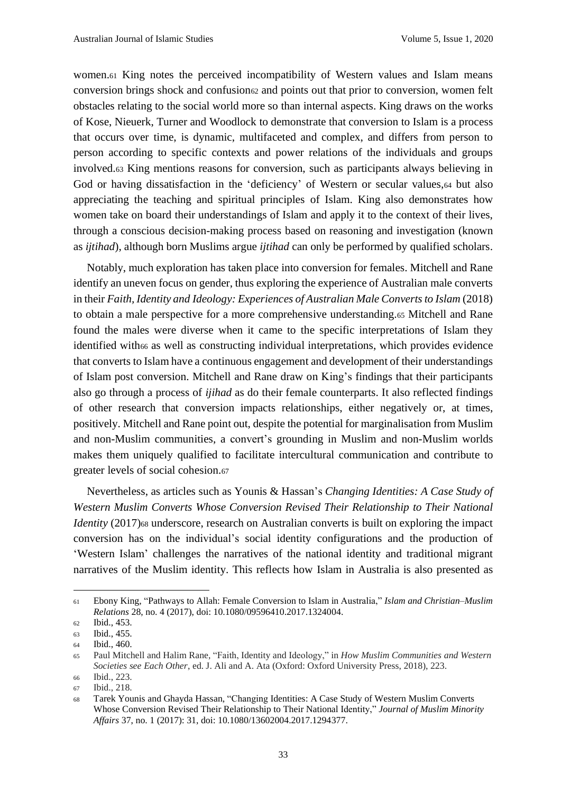women.<sup>61</sup> King notes the perceived incompatibility of Western values and Islam means conversion brings shock and confusion<sub>62</sub> and points out that prior to conversion, women felt obstacles relating to the social world more so than internal aspects. King draws on the works of Kose, Nieuerk, Turner and Woodlock to demonstrate that conversion to Islam is a process that occurs over time, is dynamic, multifaceted and complex, and differs from person to person according to specific contexts and power relations of the individuals and groups involved.<sup>63</sup> King mentions reasons for conversion, such as participants always believing in God or having dissatisfaction in the 'deficiency' of Western or secular values,  $64$  but also appreciating the teaching and spiritual principles of Islam. King also demonstrates how women take on board their understandings of Islam and apply it to the context of their lives, through a conscious decision-making process based on reasoning and investigation (known as *ijtihad*), although born Muslims argue *ijtihad* can only be performed by qualified scholars.

Notably, much exploration has taken place into conversion for females. Mitchell and Rane identify an uneven focus on gender, thus exploring the experience of Australian male converts in their *Faith, Identity and Ideology: Experiences of Australian Male Converts to Islam* (2018) to obtain a male perspective for a more comprehensive understanding.<sup>65</sup> Mitchell and Rane found the males were diverse when it came to the specific interpretations of Islam they identified with66 as well as constructing individual interpretations, which provides evidence that converts to Islam have a continuous engagement and development of their understandings of Islam post conversion. Mitchell and Rane draw on King's findings that their participants also go through a process of *ijihad* as do their female counterparts. It also reflected findings of other research that conversion impacts relationships, either negatively or, at times, positively. Mitchell and Rane point out, despite the potential for marginalisation from Muslim and non-Muslim communities, a convert's grounding in Muslim and non-Muslim worlds makes them uniquely qualified to facilitate intercultural communication and contribute to greater levels of social cohesion.<sup>67</sup>

Nevertheless, as articles such as Younis & Hassan's *Changing Identities: A Case Study of Western Muslim Converts Whose Conversion Revised Their Relationship to Their National Identity* (2017)<sup>68</sup> underscore, research on Australian converts is built on exploring the impact conversion has on the individual's social identity configurations and the production of 'Western Islam' challenges the narratives of the national identity and traditional migrant narratives of the Muslim identity. This reflects how Islam in Australia is also presented as

<sup>61</sup> Ebony King, "Pathways to Allah: Female Conversion to Islam in Australia," *Islam and Christian–Muslim Relations* 28, no. 4 (2017), doi: 10.1080/09596410.2017.1324004.

<sup>62</sup> Ibid., 453.

<sup>63</sup> Ibid., 455.

<sup>64</sup> Ibid., 460.

<sup>65</sup> Paul Mitchell and Halim Rane, "Faith, Identity and Ideology," in *How Muslim Communities and Western Societies see Each Other*, ed. J. Ali and A. Ata (Oxford: Oxford University Press, 2018), 223. <sup>66</sup> Ibid., 223.

<sup>67</sup> Ibid., 218.

<sup>68</sup> Tarek Younis and Ghayda Hassan, "Changing Identities: A Case Study of Western Muslim Converts Whose Conversion Revised Their Relationship to Their National Identity," *Journal of Muslim Minority Affairs* 37, no. 1 (2017): 31, doi: 10.1080/13602004.2017.1294377.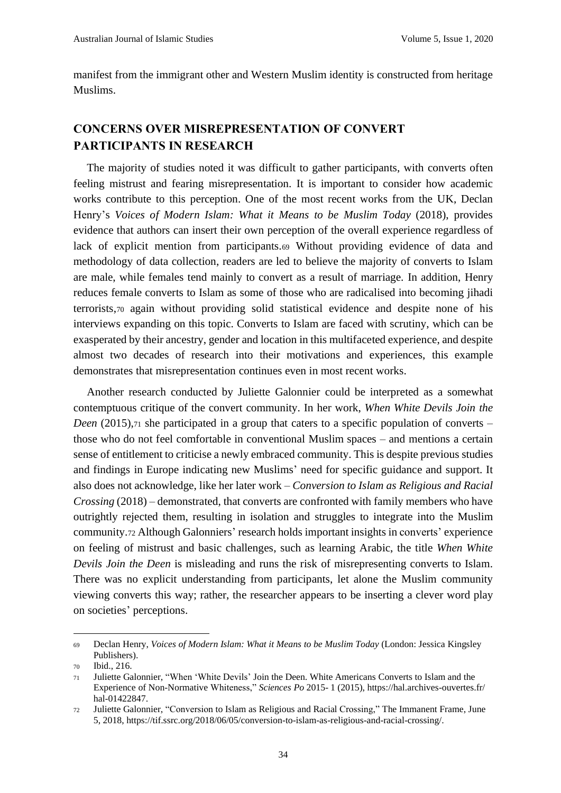manifest from the immigrant other and Western Muslim identity is constructed from heritage Muslims.

#### **CONCERNS OVER MISREPRESENTATION OF CONVERT PARTICIPANTS IN RESEARCH**

The majority of studies noted it was difficult to gather participants, with converts often feeling mistrust and fearing misrepresentation. It is important to consider how academic works contribute to this perception. One of the most recent works from the UK, Declan Henry's *Voices of Modern Islam: What it Means to be Muslim Today* (2018), provides evidence that authors can insert their own perception of the overall experience regardless of lack of explicit mention from participants.<sup>69</sup> Without providing evidence of data and methodology of data collection, readers are led to believe the majority of converts to Islam are male, while females tend mainly to convert as a result of marriage. In addition, Henry reduces female converts to Islam as some of those who are radicalised into becoming jihadi terrorists,<sup>70</sup> again without providing solid statistical evidence and despite none of his interviews expanding on this topic. Converts to Islam are faced with scrutiny, which can be exasperated by their ancestry, gender and location in this multifaceted experience, and despite almost two decades of research into their motivations and experiences, this example demonstrates that misrepresentation continues even in most recent works.

Another research conducted by Juliette Galonnier could be interpreted as a somewhat contemptuous critique of the convert community. In her work, *When White Devils Join the Deen* (2015),71 she participated in a group that caters to a specific population of converts – those who do not feel comfortable in conventional Muslim spaces – and mentions a certain sense of entitlement to criticise a newly embraced community. This is despite previous studies and findings in Europe indicating new Muslims' need for specific guidance and support. It also does not acknowledge, like her later work – *Conversion to Islam as Religious and Racial Crossing* (2018) – demonstrated, that converts are confronted with family members who have outrightly rejected them, resulting in isolation and struggles to integrate into the Muslim community.<sup>72</sup> Although Galonniers' research holds important insights in converts' experience on feeling of mistrust and basic challenges, such as learning Arabic, the title *When White Devils Join the Deen* is misleading and runs the risk of misrepresenting converts to Islam. There was no explicit understanding from participants, let alone the Muslim community viewing converts this way; rather, the researcher appears to be inserting a clever word play on societies' perceptions.

<sup>69</sup> Declan Henry, *Voices of Modern Islam: What it Means to be Muslim Today* (London: Jessica Kingsley Publishers).

<sup>70</sup> Ibid., 216.

<sup>71</sup> Juliette Galonnier, "When 'White Devils' Join the Deen. White Americans Converts to Islam and the Experience of Non-Normative Whiteness," *Sciences Po* 2015- 1 (2015), https://hal.archives-ouvertes.fr/ hal-01422847.

<sup>72</sup> Juliette Galonnier, "Conversion to Islam as Religious and Racial Crossing," The Immanent Frame, June 5, 2018, https://tif.ssrc.org/2018/06/05/conversion-to-islam-as-religious-and-racial-crossing/.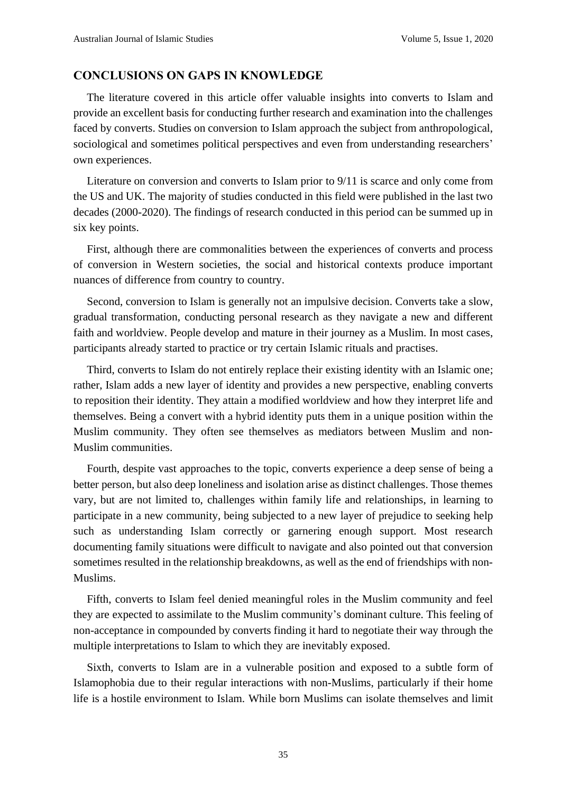#### **CONCLUSIONS ON GAPS IN KNOWLEDGE**

The literature covered in this article offer valuable insights into converts to Islam and provide an excellent basis for conducting further research and examination into the challenges faced by converts. Studies on conversion to Islam approach the subject from anthropological, sociological and sometimes political perspectives and even from understanding researchers' own experiences.

Literature on conversion and converts to Islam prior to 9/11 is scarce and only come from the US and UK. The majority of studies conducted in this field were published in the last two decades (2000-2020). The findings of research conducted in this period can be summed up in six key points.

First, although there are commonalities between the experiences of converts and process of conversion in Western societies, the social and historical contexts produce important nuances of difference from country to country.

Second, conversion to Islam is generally not an impulsive decision. Converts take a slow, gradual transformation, conducting personal research as they navigate a new and different faith and worldview. People develop and mature in their journey as a Muslim. In most cases, participants already started to practice or try certain Islamic rituals and practises.

Third, converts to Islam do not entirely replace their existing identity with an Islamic one; rather, Islam adds a new layer of identity and provides a new perspective, enabling converts to reposition their identity. They attain a modified worldview and how they interpret life and themselves. Being a convert with a hybrid identity puts them in a unique position within the Muslim community. They often see themselves as mediators between Muslim and non-Muslim communities.

Fourth, despite vast approaches to the topic, converts experience a deep sense of being a better person, but also deep loneliness and isolation arise as distinct challenges. Those themes vary, but are not limited to, challenges within family life and relationships, in learning to participate in a new community, being subjected to a new layer of prejudice to seeking help such as understanding Islam correctly or garnering enough support. Most research documenting family situations were difficult to navigate and also pointed out that conversion sometimes resulted in the relationship breakdowns, as well as the end of friendships with non-Muslims.

Fifth, converts to Islam feel denied meaningful roles in the Muslim community and feel they are expected to assimilate to the Muslim community's dominant culture. This feeling of non-acceptance in compounded by converts finding it hard to negotiate their way through the multiple interpretations to Islam to which they are inevitably exposed.

Sixth, converts to Islam are in a vulnerable position and exposed to a subtle form of Islamophobia due to their regular interactions with non-Muslims, particularly if their home life is a hostile environment to Islam. While born Muslims can isolate themselves and limit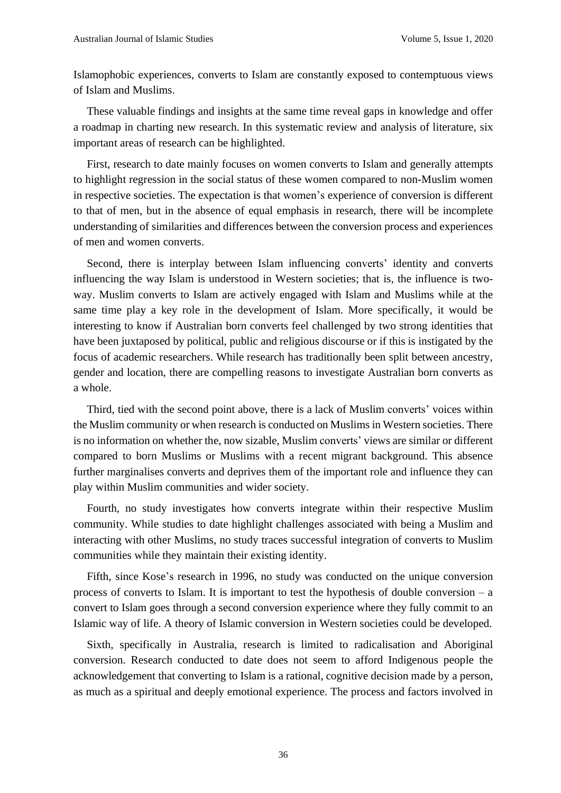Islamophobic experiences, converts to Islam are constantly exposed to contemptuous views of Islam and Muslims.

These valuable findings and insights at the same time reveal gaps in knowledge and offer a roadmap in charting new research. In this systematic review and analysis of literature, six important areas of research can be highlighted.

First, research to date mainly focuses on women converts to Islam and generally attempts to highlight regression in the social status of these women compared to non-Muslim women in respective societies. The expectation is that women's experience of conversion is different to that of men, but in the absence of equal emphasis in research, there will be incomplete understanding of similarities and differences between the conversion process and experiences of men and women converts.

Second, there is interplay between Islam influencing converts' identity and converts influencing the way Islam is understood in Western societies; that is, the influence is twoway. Muslim converts to Islam are actively engaged with Islam and Muslims while at the same time play a key role in the development of Islam. More specifically, it would be interesting to know if Australian born converts feel challenged by two strong identities that have been juxtaposed by political, public and religious discourse or if this is instigated by the focus of academic researchers. While research has traditionally been split between ancestry, gender and location, there are compelling reasons to investigate Australian born converts as a whole.

Third, tied with the second point above, there is a lack of Muslim converts' voices within the Muslim community or when research is conducted on Muslims in Western societies. There is no information on whether the, now sizable, Muslim converts' views are similar or different compared to born Muslims or Muslims with a recent migrant background. This absence further marginalises converts and deprives them of the important role and influence they can play within Muslim communities and wider society.

Fourth, no study investigates how converts integrate within their respective Muslim community. While studies to date highlight challenges associated with being a Muslim and interacting with other Muslims, no study traces successful integration of converts to Muslim communities while they maintain their existing identity.

Fifth, since Kose's research in 1996, no study was conducted on the unique conversion process of converts to Islam. It is important to test the hypothesis of double conversion – a convert to Islam goes through a second conversion experience where they fully commit to an Islamic way of life. A theory of Islamic conversion in Western societies could be developed.

Sixth, specifically in Australia, research is limited to radicalisation and Aboriginal conversion. Research conducted to date does not seem to afford Indigenous people the acknowledgement that converting to Islam is a rational, cognitive decision made by a person, as much as a spiritual and deeply emotional experience. The process and factors involved in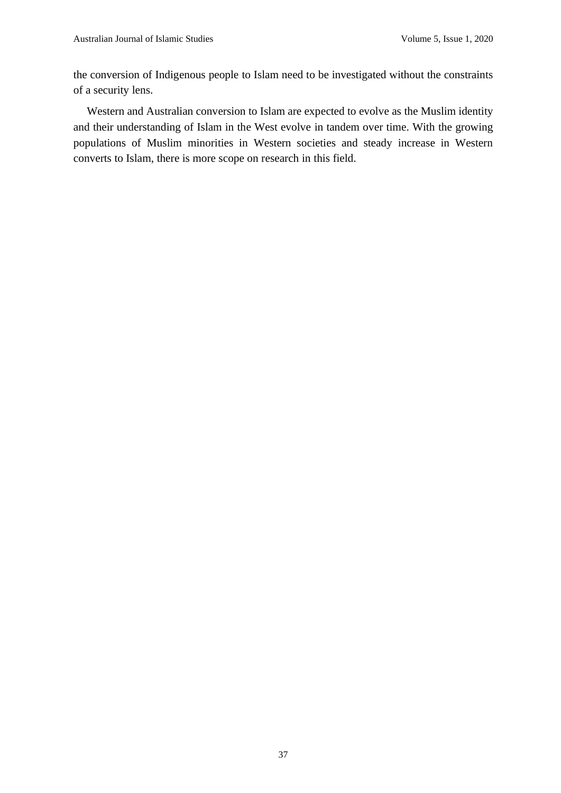the conversion of Indigenous people to Islam need to be investigated without the constraints of a security lens.

Western and Australian conversion to Islam are expected to evolve as the Muslim identity and their understanding of Islam in the West evolve in tandem over time. With the growing populations of Muslim minorities in Western societies and steady increase in Western converts to Islam, there is more scope on research in this field.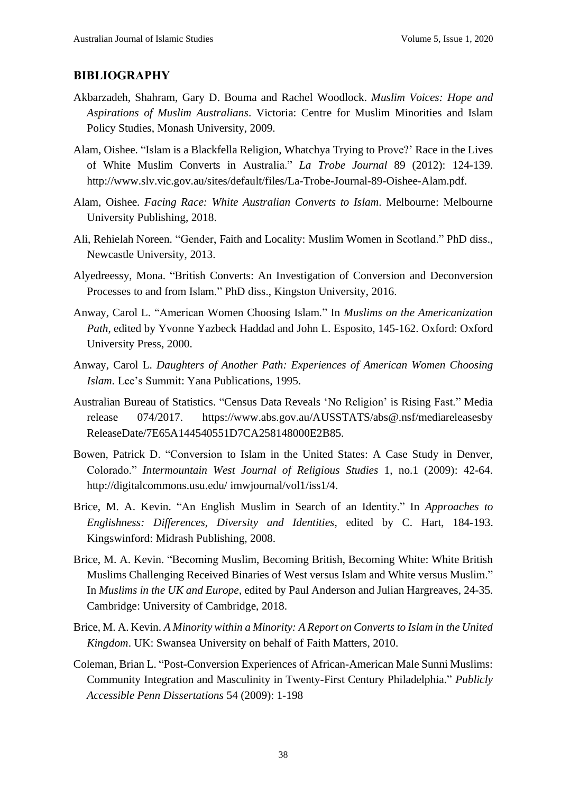#### **BIBLIOGRAPHY**

- Akbarzadeh, Shahram, Gary D. Bouma and Rachel Woodlock. *Muslim Voices: Hope and Aspirations of Muslim Australians*. Victoria: Centre for Muslim Minorities and Islam Policy Studies, Monash University, 2009.
- Alam, Oishee. "Islam is a Blackfella Religion, Whatchya Trying to Prove?' Race in the Lives of White Muslim Converts in Australia." *La Trobe Journal* 89 (2012): 124-139. http://www.slv.vic.gov.au/sites/default/files/La-Trobe-Journal-89-Oishee-Alam.pdf.
- Alam, Oishee. *Facing Race: White Australian Converts to Islam*. Melbourne: Melbourne University Publishing, 2018.
- Ali, Rehielah Noreen. "Gender, Faith and Locality: Muslim Women in Scotland." PhD diss., Newcastle University, 2013.
- Alyedreessy, Mona. "British Converts: An Investigation of Conversion and Deconversion Processes to and from Islam." PhD diss., Kingston University, 2016.
- Anway, Carol L. "American Women Choosing Islam*.*" In *Muslims on the Americanization Path*, edited by Yvonne Yazbeck Haddad and John L. Esposito, 145-162. Oxford: Oxford University Press, 2000.
- Anway, Carol L. *Daughters of Another Path: Experiences of American Women Choosing Islam.* Lee's Summit: Yana Publications, 1995.
- Australian Bureau of Statistics. "Census Data Reveals 'No Religion' is Rising Fast." Media release 074/2017. https://www.abs.gov.au/AUSSTATS/abs@.nsf/mediareleasesby ReleaseDate/7E65A144540551D7CA258148000E2B85.
- Bowen, Patrick D. "Conversion to Islam in the United States: A Case Study in Denver, Colorado." *Intermountain West Journal of Religious Studies* 1, no.1 (2009): 42-64. http://digitalcommons.usu.edu/ imwjournal/vol1/iss1/4.
- Brice, M. A. Kevin. "An English Muslim in Search of an Identity." In *Approaches to Englishness: Differences, Diversity and Identities*, edited by C. Hart, 184-193. Kingswinford: Midrash Publishing, 2008.
- Brice, M. A. Kevin. "Becoming Muslim, Becoming British, Becoming White: White British Muslims Challenging Received Binaries of West versus Islam and White versus Muslim." In *Muslims in the UK and Europe*, edited by Paul Anderson and Julian Hargreaves, 24-35. Cambridge: University of Cambridge, 2018.
- Brice, M. A. Kevin. *A Minority within a Minority: A Report on Converts to Islam in the United Kingdom*. UK: Swansea University on behalf of Faith Matters, 2010.
- Coleman, Brian L. "Post-Conversion Experiences of African-American Male Sunni Muslims: Community Integration and Masculinity in Twenty-First Century Philadelphia." *Publicly Accessible Penn Dissertations* 54 (2009): 1-198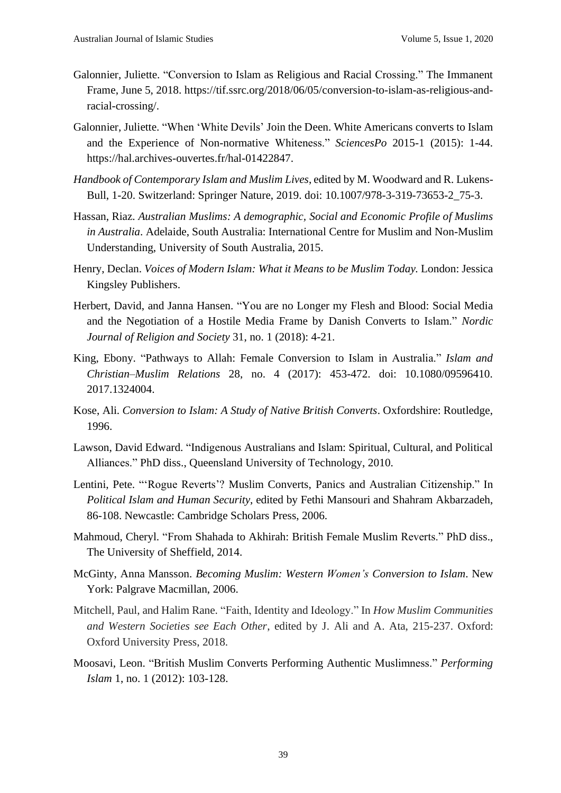- Galonnier, Juliette. "Conversion to Islam as Religious and Racial Crossing." The Immanent Frame, June 5, 2018. https://tif.ssrc.org/2018/06/05/conversion-to-islam-as-religious-andracial-crossing/.
- Galonnier, Juliette. "When 'White Devils' Join the Deen. White Americans converts to Islam and the Experience of Non-normative Whiteness." *SciencesPo* 2015-1 (2015): 1-44. https://hal.archives-ouvertes.fr/hal-01422847.
- *Handbook of Contemporary Islam and Muslim Lives*, edited by M. Woodward and R. Lukens-Bull, 1-20. Switzerland: Springer Nature, 2019. doi: 10.1007/978-3-319-73653-2\_75-3.
- Hassan, Riaz. *Australian Muslims: A demographic, Social and Economic Profile of Muslims in Australia*. Adelaide, South Australia: International Centre for Muslim and Non-Muslim Understanding, University of South Australia, 2015.
- Henry, Declan. *Voices of Modern Islam: What it Means to be Muslim Today.* London: Jessica Kingsley Publishers.
- Herbert, David, and Janna Hansen. "You are no Longer my Flesh and Blood: Social Media and the Negotiation of a Hostile Media Frame by Danish Converts to Islam." *Nordic Journal of Religion and Society* 31, no. 1 (2018): 4-21.
- King, Ebony. "Pathways to Allah: Female Conversion to Islam in Australia." *Islam and Christian–Muslim Relations* 28, no. 4 (2017): 453-472. doi: 10.1080/09596410. 2017.1324004.
- Kose, Ali. *Conversion to Islam: A Study of Native British Converts*. Oxfordshire: Routledge, 1996.
- Lawson, David Edward. "Indigenous Australians and Islam: Spiritual, Cultural, and Political Alliances." PhD diss., Queensland University of Technology, 2010.
- Lentini, Pete. "'Rogue Reverts'? Muslim Converts, Panics and Australian Citizenship." In *Political Islam and Human Security*, edited by Fethi Mansouri and Shahram Akbarzadeh, 86-108. Newcastle: Cambridge Scholars Press, 2006.
- Mahmoud, Cheryl. "From Shahada to Akhirah: British Female Muslim Reverts." PhD diss., The University of Sheffield, 2014.
- McGinty, Anna Mansson. *Becoming Muslim: Western Women's Conversion to Islam*. New York: Palgrave Macmillan, 2006.
- Mitchell, Paul, and Halim Rane. "Faith, Identity and Ideology." In *How Muslim Communities and Western Societies see Each Other*, edited by J. Ali and A. Ata, 215-237. Oxford: Oxford University Press, 2018.
- Moosavi, Leon. "British Muslim Converts Performing Authentic Muslimness." *Performing Islam* 1, no. 1 (2012): 103-128.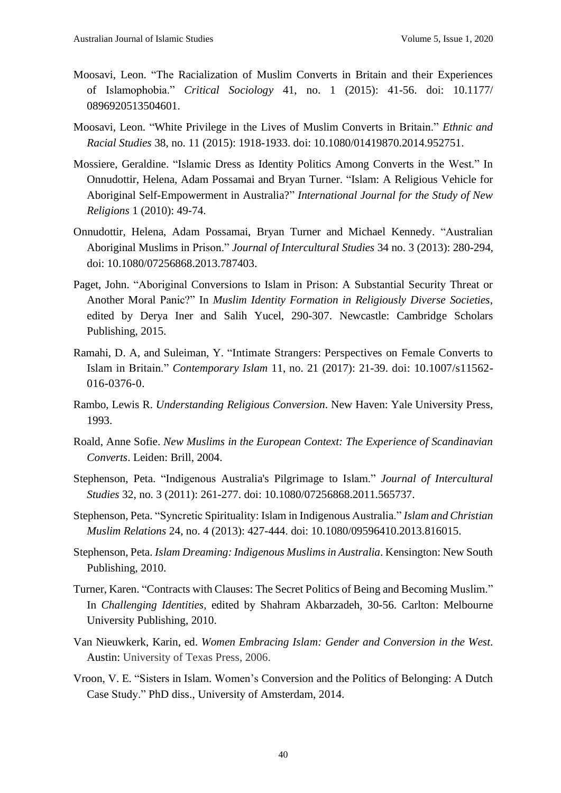- Moosavi, Leon. "The Racialization of Muslim Converts in Britain and their Experiences of Islamophobia." *Critical Sociology* 41, no. 1 (2015): 41-56. doi: 10.1177/ 0896920513504601.
- Moosavi, Leon. "White Privilege in the Lives of Muslim Converts in Britain." *Ethnic and Racial Studies* 38, no. 11 (2015): 1918-1933. doi: 10.1080/01419870.2014.952751.
- Mossiere, Geraldine. "Islamic Dress as Identity Politics Among Converts in the West." In Onnudottir, Helena, Adam Possamai and Bryan Turner. "Islam: A Religious Vehicle for Aboriginal Self-Empowerment in Australia?" *International Journal for the Study of New Religions* 1 (2010): 49-74.
- Onnudottir, Helena, Adam Possamai, Bryan Turner and Michael Kennedy. "Australian Aboriginal Muslims in Prison." *Journal of Intercultural Studies* 34 no. 3 (2013): 280-294, doi: 10.1080/07256868.2013.787403.
- Paget, John. "Aboriginal Conversions to Islam in Prison: A Substantial Security Threat or Another Moral Panic?" In *Muslim Identity Formation in Religiously Diverse Societies*, edited by Derya Iner and Salih Yucel, 290-307. Newcastle: Cambridge Scholars Publishing, 2015.
- Ramahi, D. A, and Suleiman, Y. "Intimate Strangers: Perspectives on Female Converts to Islam in Britain." *Contemporary Islam* 11, no. 21 (2017): 21-39. doi: 10.1007/s11562- 016-0376-0.
- Rambo, Lewis R. *Understanding Religious Conversion*. New Haven: Yale University Press, 1993.
- Roald, Anne Sofie. *New Muslims in the European Context: The Experience of Scandinavian Converts*. Leiden: Brill, 2004.
- Stephenson, Peta. "Indigenous Australia's Pilgrimage to Islam." *Journal of Intercultural Studies* 32, no. 3 (2011): 261-277. doi: 10.1080/07256868.2011.565737.
- Stephenson, Peta. "Syncretic Spirituality: Islam in Indigenous Australia." *Islam and Christian Muslim Relations* 24, no. 4 (2013): 427-444. doi: 10.1080/09596410.2013.816015.
- Stephenson, Peta. *Islam Dreaming: Indigenous Muslims in Australia*. Kensington: New South Publishing, 2010.
- Turner, Karen. "Contracts with Clauses: The Secret Politics of Being and Becoming Muslim." In *Challenging Identities*, edited by Shahram Akbarzadeh, 30-56. Carlton: Melbourne University Publishing, 2010.
- Van Nieuwkerk, Karin, ed. *Women Embracing Islam: Gender and Conversion in the West*. Austin: University of Texas Press, 2006.
- Vroon, V. E. "Sisters in Islam. Women's Conversion and the Politics of Belonging: A Dutch Case Study." PhD diss., University of Amsterdam, 2014.